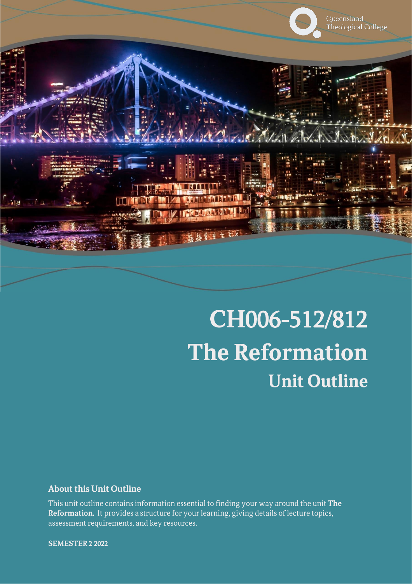

# CH006-512/812 **The Reformation Unit Outline**

### **About this Unit Outline**

This unit outline contains information essential to finding your way around the unit The Reformation. It provides a structure for your learning, giving details of lecture topics, assessment requirements, and key resources.

**SEMESTER 2 2022**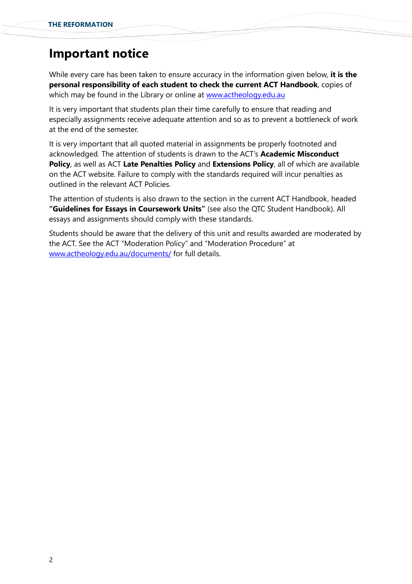# **Important notice**

While every care has been taken to ensure accuracy in the information given below, **it is the personal responsibility of each student to check the current ACT Handbook**, copies of which may be found in the Library or online at [www.actheology.edu.au](http://www.actheology.edu.au/)

It is very important that students plan their time carefully to ensure that reading and especially assignments receive adequate attention and so as to prevent a bottleneck of work at the end of the semester.

It is very important that all quoted material in assignments be properly footnoted and acknowledged. The attention of students is drawn to the ACT's **Academic Misconduct Policy**, as well as ACT **Late Penalties Policy** and **Extensions Policy**, all of which are available on the ACT website. Failure to comply with the standards required will incur penalties as outlined in the relevant ACT Policies.

The attention of students is also drawn to the section in the current ACT Handbook, headed **"Guidelines for Essays in Coursework Units"** (see also the QTC Student Handbook). All essays and assignments should comply with these standards.

Students should be aware that the delivery of this unit and results awarded are moderated by the ACT. See the ACT "Moderation Policy" and "Moderation Procedure" at [www.actheology.edu.au/documents/](http://www.actheology.edu.au/documents/) for full details.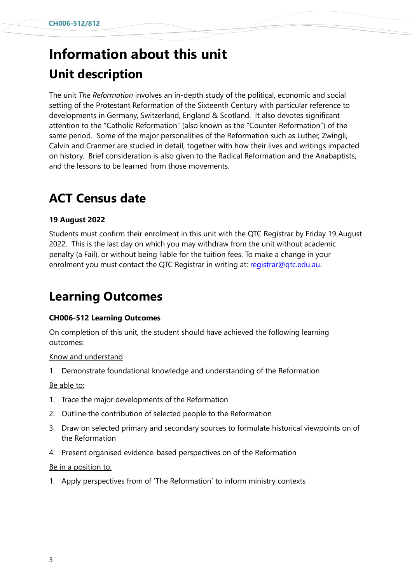# **Information about this unit Unit description**

The unit *The Reformation* involves an in-depth study of the political, economic and social setting of the Protestant Reformation of the Sixteenth Century with particular reference to developments in Germany, Switzerland, England & Scotland. It also devotes significant attention to the "Catholic Reformation" (also known as the "Counter-Reformation") of the same period. Some of the major personalities of the Reformation such as Luther, Zwingli, Calvin and Cranmer are studied in detail, together with how their lives and writings impacted on history. Brief consideration is also given to the Radical Reformation and the Anabaptists, and the lessons to be learned from those movements.

# **ACT Census date**

### **19 August 2022**

Students must confirm their enrolment in this unit with the QTC Registrar by Friday 19 August 2022. This is the last day on which you may withdraw from the unit without academic penalty (a Fail), or without being liable for the tuition fees. To make a change in your enrolment you must contact the QTC Registrar in writing at: registrar@gtc.edu.au.

# **Learning Outcomes**

### **CH006-512 Learning Outcomes**

On completion of this unit, the student should have achieved the following learning outcomes:

### Know and understand

1. [Demonstrate](https://www.actheology.edu.au/unit/CH006-512/#demonstrate) [foundational](https://www.actheology.edu.au/unit/CH006-512/#foundational) knowledge and understanding of the Reformation

#### Be able to:

- 1. [Trace](https://www.actheology.edu.au/unit/CH006-512/#trace) the major developments of the Reformation
- 2. [Outline](https://www.actheology.edu.au/unit/CH006-512/#outline) the contribution of selected people to the Reformation
- 3. Draw on selected primary and secondary sources to formulate historical viewpoints on of the Reformation
- 4. Present [organised](https://www.actheology.edu.au/unit/CH006-512/#organised) evidence-based perspectives on of the Reformation

#### Be in a position to:

1. Apply perspectives from of 'The Reformation' to inform ministry contexts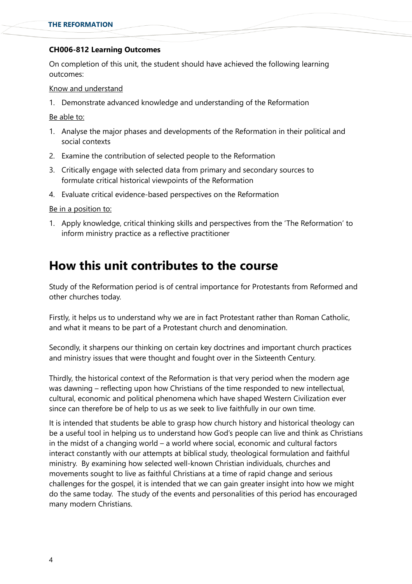### **CH006-812 Learning Outcomes**

On completion of this unit, the student should have achieved the following learning outcomes:

#### Know and understand

1. [Demonstrate](https://www.actheology.edu.au/unit/CH006-712/#demonstrate) [advanced](https://www.actheology.edu.au/unit/CH006-712/#functional) knowledge and understanding of the Reformation

Be able to:

- 1. [Analyse](https://www.actheology.edu.au/unit/CH006-712/#explain) the major phases and developments of the Reformation in their political and social contexts
- 2. [Examine](https://www.actheology.edu.au/unit/CH006-712/#evaluate) the contribution of selected people to the Reformation
- 3. Critically engage with selected data from primary and secondary sources to formulate [critical](https://www.actheology.edu.au/unit/CH006-712/#critical) historical viewpoints of the Reformation
- 4. Evaluate [critical](https://www.actheology.edu.au/unit/CH006-712/#critical) evidence-based perspectives on the Reformation

Be in a position to:

1. Apply knowledge, critical thinking skills and perspectives from the 'The Reformation' to inform ministry practice as a reflective practitioner

# **How this unit contributes to the course**

Study of the Reformation period is of central importance for Protestants from Reformed and other churches today.

Firstly, it helps us to understand why we are in fact Protestant rather than Roman Catholic, and what it means to be part of a Protestant church and denomination.

Secondly, it sharpens our thinking on certain key doctrines and important church practices and ministry issues that were thought and fought over in the Sixteenth Century.

Thirdly, the historical context of the Reformation is that very period when the modern age was dawning – reflecting upon how Christians of the time responded to new intellectual, cultural, economic and political phenomena which have shaped Western Civilization ever since can therefore be of help to us as we seek to live faithfully in our own time.

It is intended that students be able to grasp how church history and historical theology can be a useful tool in helping us to understand how God's people can live and think as Christians in the midst of a changing world – a world where social, economic and cultural factors interact constantly with our attempts at biblical study, theological formulation and faithful ministry. By examining how selected well-known Christian individuals, churches and movements sought to live as faithful Christians at a time of rapid change and serious challenges for the gospel, it is intended that we can gain greater insight into how we might do the same today. The study of the events and personalities of this period has encouraged many modern Christians.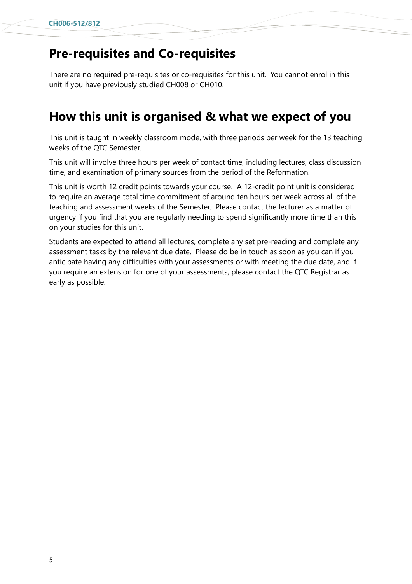# **Pre-requisites and Co-requisites**

There are no required pre-requisites or co-requisites for this unit. You cannot enrol in this unit if you have previously studied CH008 or CH010.

# **How this unit is organised & what we expect of you**

This unit is taught in weekly classroom mode, with three periods per week for the 13 teaching weeks of the QTC Semester.

This unit will involve three hours per week of contact time, including lectures, class discussion time, and examination of primary sources from the period of the Reformation.

This unit is worth 12 credit points towards your course. A 12-credit point unit is considered to require an average total time commitment of around ten hours per week across all of the teaching and assessment weeks of the Semester. Please contact the lecturer as a matter of urgency if you find that you are regularly needing to spend significantly more time than this on your studies for this unit.

Students are expected to attend all lectures, complete any set pre-reading and complete any assessment tasks by the relevant due date. Please do be in touch as soon as you can if you anticipate having any difficulties with your assessments or with meeting the due date, and if you require an extension for one of your assessments, please contact the QTC Registrar as early as possible.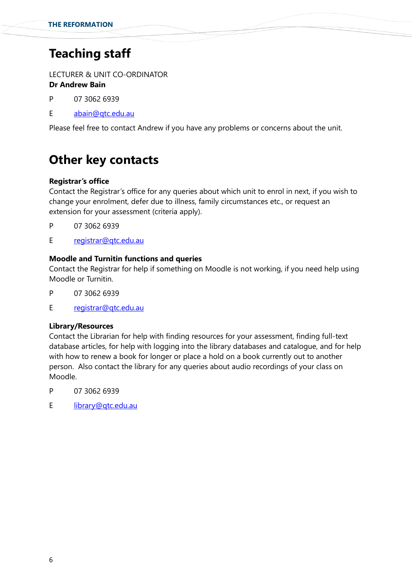# **Teaching staff**

LECTURER & UNIT CO-ORDINATOR

## **Dr Andrew Bain**

- P 07 3062 6939
- E [abain@qtc.edu.au](mailto:abain@qtc.edu.au)

Please feel free to contact Andrew if you have any problems or concerns about the unit.

# **Other key contacts**

### **Registrar's office**

Contact the Registrar's office for any queries about which unit to enrol in next, if you wish to change your enrolment, defer due to illness, family circumstances etc., or request an extension for your assessment (criteria apply).

- P 07 3062 6939
- E registrar@gtc.edu.au

### **Moodle and Turnitin functions and queries**

Contact the Registrar for help if something on Moodle is not working, if you need help using Moodle or Turnitin.

- P 07 3062 6939
- E [registrar@qtc.edu.au](mailto:registrar@qtc.edu.au)

### **Library/Resources**

Contact the Librarian for help with finding resources for your assessment, finding full-text database articles, for help with logging into the library databases and catalogue, and for help with how to renew a book for longer or place a hold on a book currently out to another person. Also contact the library for any queries about audio recordings of your class on Moodle.

- P 07 3062 6939
- E [library@qtc.edu.au](mailto:library@qtc.edu.au)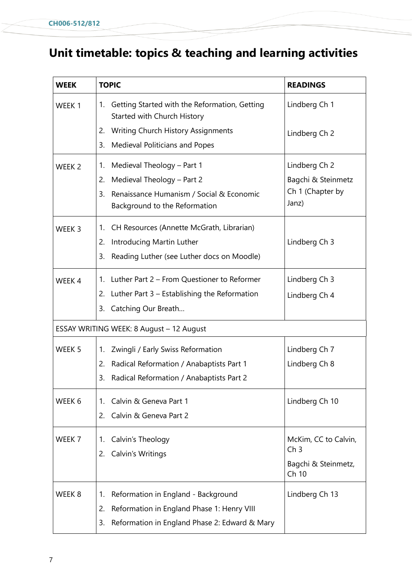# **Unit timetable: topics & teaching and learning activities**

| <b>WEEK</b>       | <b>TOPIC</b>                                                                       | <b>READINGS</b>              |
|-------------------|------------------------------------------------------------------------------------|------------------------------|
| WEEK 1            | Getting Started with the Reformation, Getting<br>1.<br>Started with Church History | Lindberg Ch 1                |
|                   | Writing Church History Assignments<br>2.                                           | Lindberg Ch 2                |
|                   | Medieval Politicians and Popes<br>3.                                               |                              |
| WEEK <sub>2</sub> | Medieval Theology - Part 1<br>1.                                                   | Lindberg Ch 2                |
|                   | 2.<br>Medieval Theology - Part 2                                                   | Bagchi & Steinmetz           |
|                   | Renaissance Humanism / Social & Economic<br>3.                                     | Ch 1 (Chapter by             |
|                   | Background to the Reformation                                                      | Janz)                        |
| WEEK <sub>3</sub> | CH Resources (Annette McGrath, Librarian)<br>1.                                    |                              |
|                   | Introducing Martin Luther<br>2.                                                    | Lindberg Ch 3                |
|                   | Reading Luther (see Luther docs on Moodle)<br>3.                                   |                              |
| WEEK 4            | Luther Part 2 – From Questioner to Reformer<br>1.                                  | Lindberg Ch 3                |
|                   | 2.<br>Luther Part $3$ – Establishing the Reformation                               | Lindberg Ch 4                |
|                   | Catching Our Breath<br>3.                                                          |                              |
|                   | ESSAY WRITING WEEK: 8 August - 12 August                                           |                              |
| WEEK <sub>5</sub> | Zwingli / Early Swiss Reformation<br>1.                                            | Lindberg Ch 7                |
|                   | 2.<br>Radical Reformation / Anabaptists Part 1                                     | Lindberg Ch 8                |
|                   | Radical Reformation / Anabaptists Part 2<br>3.                                     |                              |
| WEEK 6            | Calvin & Geneva Part 1<br>$1_{-}$                                                  | Lindberg Ch 10               |
|                   | 2.<br>Calvin & Geneva Part 2                                                       |                              |
| WEEK 7            | Calvin's Theology<br>1.                                                            | McKim, CC to Calvin,         |
|                   | Calvin's Writings<br>2.                                                            | Ch <sub>3</sub>              |
|                   |                                                                                    | Bagchi & Steinmetz,<br>Ch 10 |
| WEEK 8            | Reformation in England - Background<br>1.                                          | Lindberg Ch 13               |
|                   | 2.<br>Reformation in England Phase 1: Henry VIII                                   |                              |
|                   | Reformation in England Phase 2: Edward & Mary<br>3.                                |                              |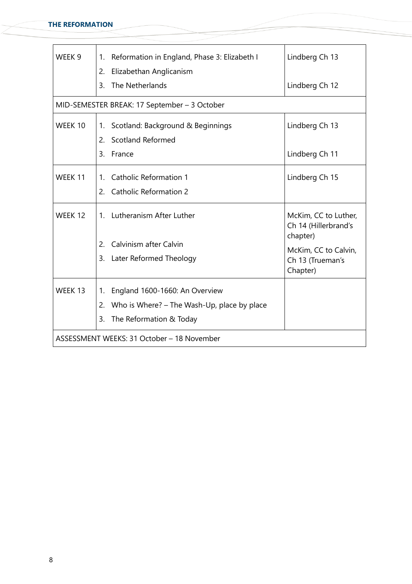÷

| WEEK 9                                     | Reformation in England, Phase 3: Elizabeth I<br>1 <sub>1</sub><br>Elizabethan Anglicanism<br>2.                            | Lindberg Ch 13                                           |  |
|--------------------------------------------|----------------------------------------------------------------------------------------------------------------------------|----------------------------------------------------------|--|
|                                            | The Netherlands<br>3.                                                                                                      | Lindberg Ch 12                                           |  |
|                                            | MID-SEMESTER BREAK: 17 September - 3 October                                                                               |                                                          |  |
| WEEK 10                                    | Scotland: Background & Beginnings<br>1.<br><b>Scotland Reformed</b><br>2.                                                  | Lindberg Ch 13                                           |  |
|                                            | France<br>3.                                                                                                               | Lindberg Ch 11                                           |  |
| WEEK 11                                    | <b>Catholic Reformation 1</b><br>1.<br>2. Catholic Reformation 2                                                           | Lindberg Ch 15                                           |  |
| WEEK 12                                    | Lutheranism After Luther<br>$1_{-}$                                                                                        | McKim, CC to Luther,<br>Ch 14 (Hillerbrand's<br>chapter) |  |
|                                            | Calvinism after Calvin<br>2.                                                                                               | McKim, CC to Calvin,                                     |  |
|                                            | Later Reformed Theology<br>3.                                                                                              | Ch 13 (Trueman's<br>Chapter)                             |  |
| WEEK 13                                    | England 1600-1660: An Overview<br>1.<br>Who is Where? – The Wash-Up, place by place<br>2.<br>The Reformation & Today<br>3. |                                                          |  |
| ASSESSMENT WEEKS: 31 October - 18 November |                                                                                                                            |                                                          |  |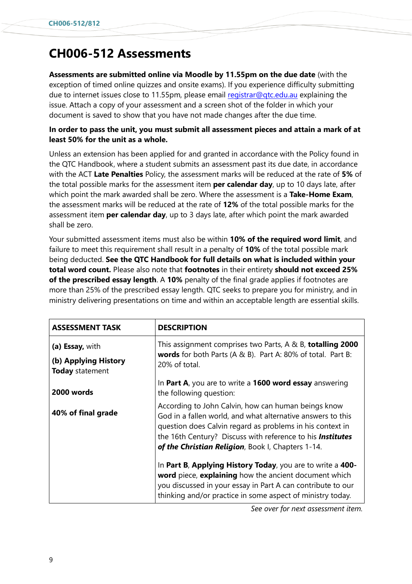# **CH006-512 Assessments**

**Assessments are submitted online via Moodle by 11.55pm on the due date** (with the exception of timed online quizzes and onsite exams). If you experience difficulty submitting due to internet issues close to 11.55pm, please email registrar@gtc.edu.au explaining the issue. Attach a copy of your assessment and a screen shot of the folder in which your document is saved to show that you have not made changes after the due time.

### **In order to pass the unit, you must submit all assessment pieces and attain a mark of at least 50% for the unit as a whole.**

Unless an extension has been applied for and granted in accordance with the Policy found in the QTC Handbook, where a student submits an assessment past its due date, in accordance with the ACT **Late Penalties** Policy, the assessment marks will be reduced at the rate of **5%** of the total possible marks for the assessment item **per calendar day**, up to 10 days late, after which point the mark awarded shall be zero. Where the assessment is a **Take-Home Exam**, the assessment marks will be reduced at the rate of **12%** of the total possible marks for the assessment item **per calendar day**, up to 3 days late, after which point the mark awarded shall be zero.

Your submitted assessment items must also be within **10% of the required word limit**, and failure to meet this requirement shall result in a penalty of **10%** of the total possible mark being deducted. **See the QTC Handbook for full details on what is included within your total word count.** Please also note that **footnotes** in their entirety **should not exceed 25% of the prescribed essay length**. A **10%** penalty of the final grade applies if footnotes are more than 25% of the prescribed essay length. QTC seeks to prepare you for ministry, and in ministry delivering presentations on time and within an acceptable length are essential skills.

| <b>ASSESSMENT TASK</b>                  | <b>DESCRIPTION</b>                                                                                                                                                                                                                                                                                 |  |
|-----------------------------------------|----------------------------------------------------------------------------------------------------------------------------------------------------------------------------------------------------------------------------------------------------------------------------------------------------|--|
| (a) Essay, with                         | This assignment comprises two Parts, A & B, totalling 2000<br>words for both Parts (A & B). Part A: 80% of total. Part B:<br>20% of total.                                                                                                                                                         |  |
| (b) Applying History<br>Today statement |                                                                                                                                                                                                                                                                                                    |  |
| 2000 words                              | In Part A, you are to write a 1600 word essay answering<br>the following question:                                                                                                                                                                                                                 |  |
| 40% of final grade                      | According to John Calvin, how can human beings know<br>God in a fallen world, and what alternative answers to this<br>question does Calvin regard as problems in his context in<br>the 16th Century? Discuss with reference to his Institutes<br>of the Christian Religion, Book I, Chapters 1-14. |  |
|                                         | In Part B, Applying History Today, you are to write a 400-<br>word piece, explaining how the ancient document which<br>you discussed in your essay in Part A can contribute to our<br>thinking and/or practice in some aspect of ministry today.                                                   |  |

*See over for next assessment item.*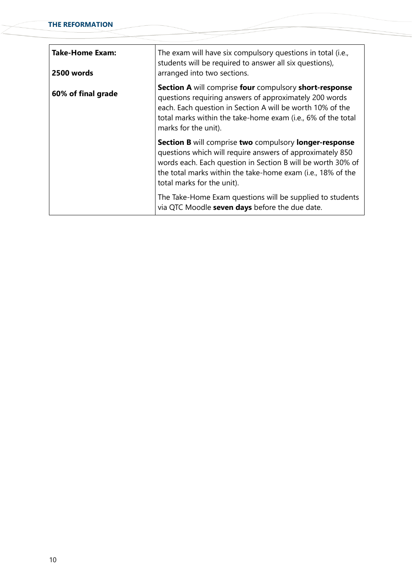| Take-Home Exam:<br>2500 words | The exam will have six compulsory questions in total (i.e.,<br>students will be required to answer all six questions),<br>arranged into two sections.                                                                                                                                  |  |
|-------------------------------|----------------------------------------------------------------------------------------------------------------------------------------------------------------------------------------------------------------------------------------------------------------------------------------|--|
| 60% of final grade            | Section A will comprise four compulsory short-response<br>questions requiring answers of approximately 200 words<br>each. Each question in Section A will be worth 10% of the<br>total marks within the take-home exam (i.e., 6% of the total<br>marks for the unit).                  |  |
|                               | <b>Section B</b> will comprise two compulsory longer-response<br>questions which will require answers of approximately 850<br>words each. Each question in Section B will be worth 30% of<br>the total marks within the take-home exam (i.e., 18% of the<br>total marks for the unit). |  |
|                               | The Take-Home Exam questions will be supplied to students<br>via QTC Moodle seven days before the due date.                                                                                                                                                                            |  |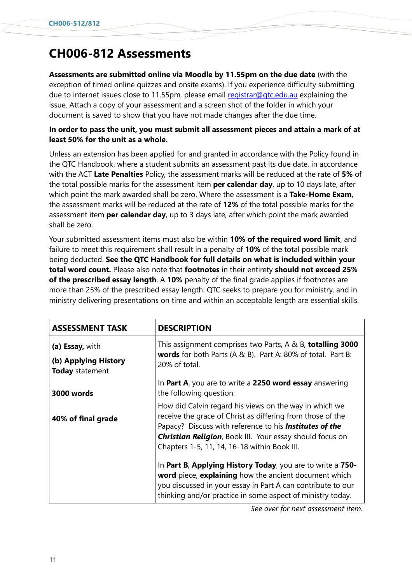# **CH006-812 Assessments**

**Assessments are submitted online via Moodle by 11.55pm on the due date** (with the exception of timed online quizzes and onsite exams). If you experience difficulty submitting due to internet issues close to 11.55pm, please email registrar@gtc.edu.au explaining the issue. Attach a copy of your assessment and a screen shot of the folder in which your document is saved to show that you have not made changes after the due time.

### **In order to pass the unit, you must submit all assessment pieces and attain a mark of at least 50% for the unit as a whole.**

Unless an extension has been applied for and granted in accordance with the Policy found in the QTC Handbook, where a student submits an assessment past its due date, in accordance with the ACT **Late Penalties** Policy, the assessment marks will be reduced at the rate of **5%** of the total possible marks for the assessment item **per calendar day**, up to 10 days late, after which point the mark awarded shall be zero. Where the assessment is a **Take-Home Exam**, the assessment marks will be reduced at the rate of **12%** of the total possible marks for the assessment item **per calendar day**, up to 3 days late, after which point the mark awarded shall be zero.

Your submitted assessment items must also be within **10% of the required word limit**, and failure to meet this requirement shall result in a penalty of **10%** of the total possible mark being deducted. **See the QTC Handbook for full details on what is included within your total word count.** Please also note that **footnotes** in their entirety **should not exceed 25% of the prescribed essay length**. A **10%** penalty of the final grade applies if footnotes are more than 25% of the prescribed essay length. QTC seeks to prepare you for ministry, and in ministry delivering presentations on time and within an acceptable length are essential skills.

| <b>ASSESSMENT TASK</b>                  | <b>DESCRIPTION</b>                                                                                                                                                                                                                               |  |
|-----------------------------------------|--------------------------------------------------------------------------------------------------------------------------------------------------------------------------------------------------------------------------------------------------|--|
| (a) Essay, with                         | This assignment comprises two Parts, A & B, totalling 3000<br>words for both Parts (A & B). Part A: 80% of total. Part B:<br>20% of total.                                                                                                       |  |
| (b) Applying History<br>Today statement |                                                                                                                                                                                                                                                  |  |
| 3000 words                              | In Part A, you are to write a 2250 word essay answering<br>the following question:                                                                                                                                                               |  |
| 40% of final grade                      | How did Calvin regard his views on the way in which we<br>receive the grace of Christ as differing from those of the<br>Papacy? Discuss with reference to his <b>Institutes of the</b>                                                           |  |
|                                         | <b>Christian Religion, Book III. Your essay should focus on</b><br>Chapters 1-5, 11, 14, 16-18 within Book III.                                                                                                                                  |  |
|                                         | In Part B, Applying History Today, you are to write a 750-<br>word piece, explaining how the ancient document which<br>you discussed in your essay in Part A can contribute to our<br>thinking and/or practice in some aspect of ministry today. |  |

*See over for next assessment item.*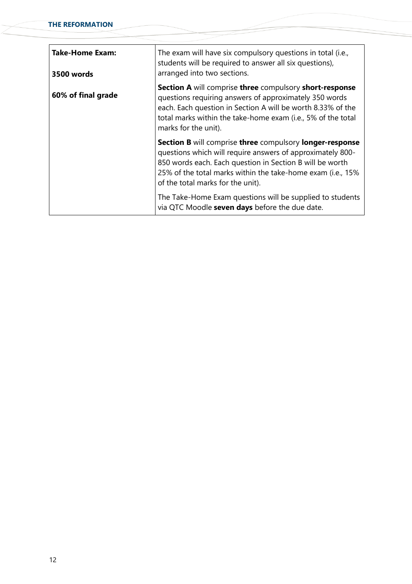| <b>Take-Home Exam:</b><br>3500 words | The exam will have six compulsory questions in total (i.e.,<br>students will be required to answer all six questions),<br>arranged into two sections.                                                                                                                                         |  |
|--------------------------------------|-----------------------------------------------------------------------------------------------------------------------------------------------------------------------------------------------------------------------------------------------------------------------------------------------|--|
| 60% of final grade                   | Section A will comprise three compulsory short-response<br>questions requiring answers of approximately 350 words<br>each. Each question in Section A will be worth 8.33% of the<br>total marks within the take-home exam (i.e., 5% of the total<br>marks for the unit).                      |  |
|                                      | <b>Section B</b> will comprise three compulsory longer-response<br>questions which will require answers of approximately 800-<br>850 words each. Each question in Section B will be worth<br>25% of the total marks within the take-home exam (i.e., 15%<br>of the total marks for the unit). |  |
|                                      | The Take-Home Exam questions will be supplied to students<br>via QTC Moodle seven days before the due date.                                                                                                                                                                                   |  |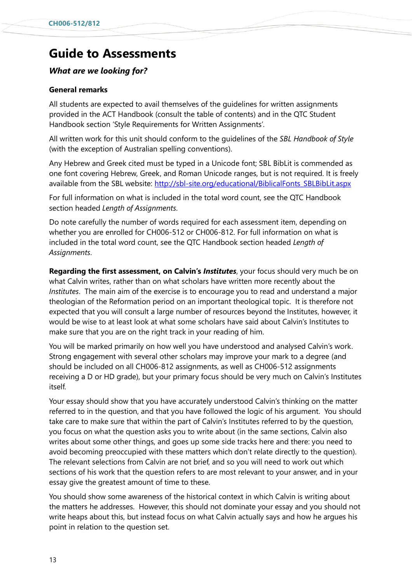# **Guide to Assessments**

### *What are we looking for?*

#### **General remarks**

All students are expected to avail themselves of the guidelines for written assignments provided in the ACT Handbook (consult the table of contents) and in the QTC Student Handbook section 'Style Requirements for Written Assignments'.

All written work for this unit should conform to the guidelines of the *SBL Handbook of Style*  (with the exception of Australian spelling conventions).

Any Hebrew and Greek cited must be typed in a Unicode font; SBL BibLit is commended as one font covering Hebrew, Greek, and Roman Unicode ranges, but is not required. It is freely available from the SBL website: [http://sbl-site.org/educational/BiblicalFonts\\_SBLBibLit.aspx](http://sbl-site.org/educational/BiblicalFonts_SBLBibLit.aspx)

For full information on what is included in the total word count, see the QTC Handbook section headed *Length of Assignments*.

Do note carefully the number of words required for each assessment item, depending on whether you are enrolled for CH006-512 or CH006-812. For full information on what is included in the total word count, see the QTC Handbook section headed *Length of Assignments*.

**Regarding the first assessment, on Calvin's** *Institutes*, your focus should very much be on what Calvin writes, rather than on what scholars have written more recently about the *Institutes*. The main aim of the exercise is to encourage you to read and understand a major theologian of the Reformation period on an important theological topic. It is therefore not expected that you will consult a large number of resources beyond the Institutes, however, it would be wise to at least look at what some scholars have said about Calvin's Institutes to make sure that you are on the right track in your reading of him.

You will be marked primarily on how well you have understood and analysed Calvin's work. Strong engagement with several other scholars may improve your mark to a degree (and should be included on all CH006-812 assignments, as well as CH006-512 assignments receiving a D or HD grade), but your primary focus should be very much on Calvin's Institutes itself.

Your essay should show that you have accurately understood Calvin's thinking on the matter referred to in the question, and that you have followed the logic of his argument. You should take care to make sure that within the part of Calvin's Institutes referred to by the question, you focus on what the question asks you to write about (in the same sections, Calvin also writes about some other things, and goes up some side tracks here and there: you need to avoid becoming preoccupied with these matters which don't relate directly to the question). The relevant selections from Calvin are not brief, and so you will need to work out which sections of his work that the question refers to are most relevant to your answer, and in your essay give the greatest amount of time to these.

You should show some awareness of the historical context in which Calvin is writing about the matters he addresses. However, this should not dominate your essay and you should not write heaps about this, but instead focus on what Calvin actually says and how he argues his point in relation to the question set.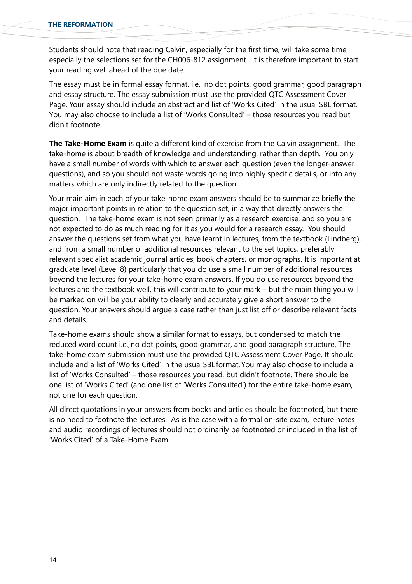Students should note that reading Calvin, especially for the first time, will take some time, especially the selections set for the CH006-812 assignment. It is therefore important to start your reading well ahead of the due date.

The essay must be in formal essay format. i.e., no dot points, good grammar, good paragraph and essay structure. The essay submission must use the provided QTC Assessment Cover Page. Your essay should include an abstract and list of 'Works Cited' in the usual SBL format. You may also choose to include a list of 'Works Consulted' – those resources you read but didn't footnote.

**The Take-Home Exam** is quite a different kind of exercise from the Calvin assignment. The take-home is about breadth of knowledge and understanding, rather than depth. You only have a small number of words with which to answer each question (even the longer-answer questions), and so you should not waste words going into highly specific details, or into any matters which are only indirectly related to the question.

Your main aim in each of your take-home exam answers should be to summarize briefly the major important points in relation to the question set, in a way that directly answers the question. The take-home exam is not seen primarily as a research exercise, and so you are not expected to do as much reading for it as you would for a research essay. You should answer the questions set from what you have learnt in lectures, from the textbook (Lindberg), and from a small number of additional resources relevant to the set topics, preferably relevant specialist academic journal articles, book chapters, or monographs. It is important at graduate level (Level 8) particularly that you do use a small number of additional resources beyond the lectures for your take-home exam answers. If you do use resources beyond the lectures and the textbook well, this will contribute to your mark – but the main thing you will be marked on will be your ability to clearly and accurately give a short answer to the question. Your answers should argue a case rather than just list off or describe relevant facts and details.

Take-home exams should show a similar format to essays, but condensed to match the reduced word count i.e., no dot points, good grammar, and good paragraph structure. The take-home exam submission must use the provided QTC Assessment Cover Page. It should include and a list of 'Works Cited' in the usual SBL format. You may also choose to include a list of 'Works Consulted' – those resources you read, but didn't footnote. There should be one list of 'Works Cited' (and one list of 'Works Consulted') for the entire take-home exam, not one for each question.

All direct quotations in your answers from books and articles should be footnoted, but there is no need to footnote the lectures. As is the case with a formal on-site exam, lecture notes and audio recordings of lectures should not ordinarily be footnoted or included in the list of 'Works Cited' of a Take-Home Exam.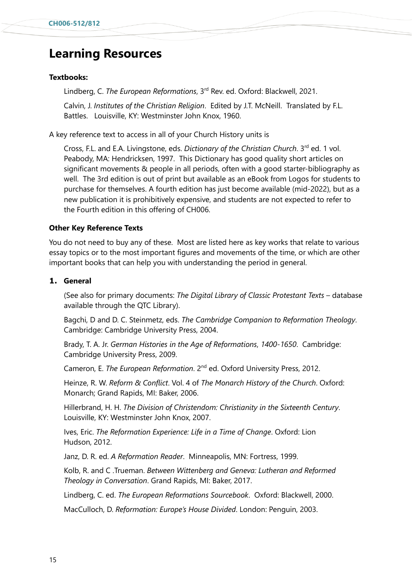# **Learning Resources**

#### **Textbooks:**

Lindberg, C. *The European Reformations*, 3 rd Rev. ed. Oxford: Blackwell, 2021.

Calvin, J. *Institutes of the Christian Religion*. Edited by J.T. McNeill. Translated by F.L. Battles. Louisville, KY: Westminster John Knox, 1960.

A key reference text to access in all of your Church History units is

Cross, F.L. and E.A. Livingstone, eds. *Dictionary of the Christian Church*. 3 rd ed. 1 vol. Peabody, MA: Hendricksen, 1997. This Dictionary has good quality short articles on significant movements & people in all periods, often with a good starter-bibliography as well. The 3rd edition is out of print but available as an eBook from Logos for students to purchase for themselves. A fourth edition has just become available (mid-2022), but as a new publication it is prohibitively expensive, and students are not expected to refer to the Fourth edition in this offering of CH006.

#### **Other Key Reference Texts**

You do not need to buy any of these. Most are listed here as key works that relate to various essay topics or to the most important figures and movements of the time, or which are other important books that can help you with understanding the period in general.

### **1. General**

(See also for primary documents: *The Digital Library of Classic Protestant Texts* – database available through the QTC Library).

Bagchi, D and D. C. Steinmetz, eds. *The Cambridge Companion to Reformation Theology*. Cambridge: Cambridge University Press, 2004.

Brady, T. A. Jr. *German Histories in the Age of Reformations*, *1400-1650*. Cambridge: Cambridge University Press, 2009.

Cameron, E. *The European Reformation*. 2<sup>nd</sup> ed. Oxford University Press, 2012.

Heinze, R. W. *Reform & Conflict*. Vol. 4 of *The Monarch History of the Church*. Oxford: Monarch; Grand Rapids, MI: Baker, 2006.

Hillerbrand, H. H. *The Division of Christendom: Christianity in the Sixteenth Century*. Louisville, KY: Westminster John Knox, 2007.

Ives, Eric. *The Reformation Experience: Life in a Time of Change*. Oxford: Lion Hudson, 2012.

Janz, D. R. ed. *A Reformation Reader*. Minneapolis, MN: Fortress, 1999.

Kolb, R. and C .Trueman. *Between Wittenberg and Geneva: Lutheran and Reformed Theology in Conversation*. Grand Rapids, MI: Baker, 2017.

Lindberg, C. ed. *The European Reformations Sourcebook*. Oxford: Blackwell, 2000.

MacCulloch, D. *Reformation: Europe's House Divided*. London: Penguin, 2003.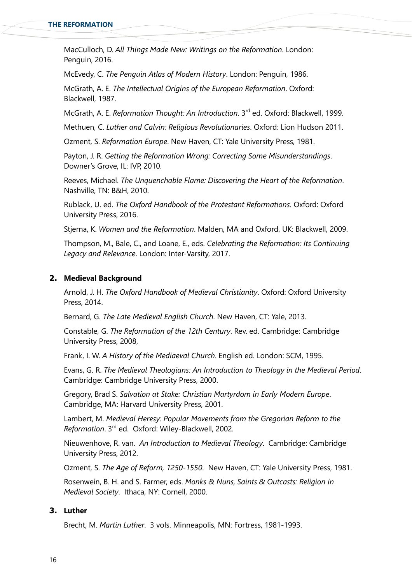MacCulloch, D. *All Things Made New: Writings on the Reformation*. London: Penguin, 2016.

McEvedy, C. *The Penguin Atlas of Modern History*. London: Penguin, 1986.

McGrath, A. E. *The Intellectual Origins of the European Reformation*. Oxford: Blackwell, 1987.

McGrath, A. E. *Reformation Thought: An Introduction*. 3 rd ed. Oxford: Blackwell, 1999.

Methuen, C. *Luther and Calvin: Religious Revolutionaries*. Oxford: Lion Hudson 2011.

Ozment, S. *Reformation Europe*. New Haven, CT: Yale University Press, 1981.

Payton, J. R. *Getting the Reformation Wrong: Correcting Some Misunderstandings*. Downer's Grove, IL: IVP, 2010.

Reeves, Michael. *The Unquenchable Flame: Discovering the Heart of the Reformation*. Nashville, TN: B&H, 2010.

Rublack, U. ed. *The Oxford Handbook of the Protestant Reformations*. Oxford: Oxford University Press, 2016.

Stjerna, K. *Women and the Reformation*. Malden, MA and Oxford, UK: Blackwell, 2009.

Thompson, M., Bale, C., and Loane, E., eds. *Celebrating the Reformation: Its Continuing Legacy and Relevance*. London: Inter-Varsity, 2017.

#### **2. Medieval Background**

Arnold, J. H. *The Oxford Handbook of Medieval Christianity*. Oxford: Oxford University Press, 2014.

Bernard, G. *The Late Medieval English Church*. New Haven, CT: Yale, 2013.

Constable, G. *The Reformation of the 12th Century*. Rev. ed. Cambridge: Cambridge University Press, 2008,

Frank, I. W. *A History of the Mediaeval Church*. English ed. London: SCM, 1995.

Evans, G. R. *The Medieval Theologians: An Introduction to Theology in the Medieval Period*. Cambridge: Cambridge University Press, 2000.

Gregory, Brad S. *Salvation at Stake: Christian Martyrdom in Early Modern Europe*. Cambridge, MA: Harvard University Press, 2001.

Lambert, M. *Medieval Heresy: Popular Movements from the Gregorian Reform to the* Reformation. 3<sup>rd</sup> ed. Oxford: Wiley-Blackwell, 2002.

Nieuwenhove, R. van. *An Introduction to Medieval Theology*. Cambridge: Cambridge University Press, 2012.

Ozment, S. *The Age of Reform, 1250-1550*. New Haven, CT: Yale University Press, 1981.

Rosenwein, B. H. and S. Farmer, eds. *Monks & Nuns, Saints & Outcasts: Religion in Medieval Society*. Ithaca, NY: Cornell, 2000.

### **3. Luther**

Brecht, M. *Martin Luther*. 3 vols. Minneapolis, MN: Fortress, 1981-1993.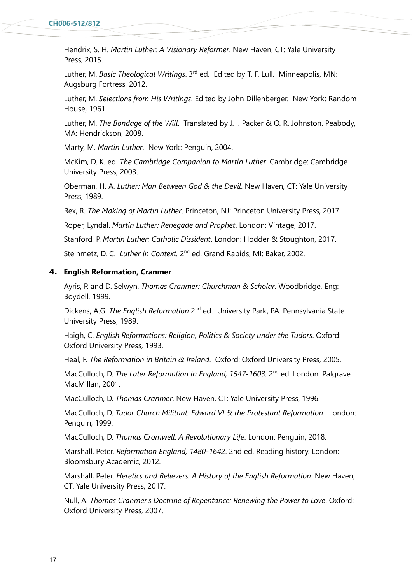Hendrix, S. H. *Martin Luther: A Visionary Reformer*. New Haven, CT: Yale University Press, 2015.

Luther, M. *Basic Theological Writings*. 3<sup>rd</sup> ed. Edited by T. F. Lull. Minneapolis, MN: Augsburg Fortress, 2012.

Luther, M. *Selections from His Writings*. Edited by John Dillenberger. New York: Random House, 1961.

Luther, M. *The Bondage of the Will*. Translated by J. I. Packer & O. R. Johnston. Peabody, MA: Hendrickson, 2008.

Marty, M. *Martin Luther*. New York: Penguin, 2004.

McKim, D. K. ed. *The Cambridge Companion to Martin Luther*. Cambridge: Cambridge University Press, 2003.

Oberman, H. A. *Luther: Man Between God & the Devil*. New Haven, CT: Yale University Press, 1989.

Rex, R. *The Making of Martin Luther*. Princeton, NJ: Princeton University Press, 2017.

Roper, Lyndal. *Martin Luther: Renegade and Prophet*. London: Vintage, 2017.

Stanford, P. *Martin Luther: Catholic Dissident*. London: Hodder & Stoughton, 2017.

Steinmetz, D. C. Luther in Context. 2<sup>nd</sup> ed. Grand Rapids, MI: Baker, 2002.

#### **4. English Reformation, Cranmer**

Ayris, P. and D. Selwyn. *Thomas Cranmer: Churchman & Scholar*. Woodbridge, Eng: Boydell, 1999.

Dickens, A.G. *The English Reformation* 2<sup>nd</sup> ed. University Park, PA: Pennsylvania State University Press, 1989.

Haigh, C. *English Reformations: Religion, Politics & Society under the Tudors*. Oxford: Oxford University Press, 1993.

Heal, F. *The Reformation in Britain & Ireland*. Oxford: Oxford University Press, 2005.

MacCulloch, D. *The Later Reformation in England, 1547-1603*. 2<sup>nd</sup> ed. London: Palgrave MacMillan, 2001.

MacCulloch, D. *Thomas Cranmer*. New Haven, CT: Yale University Press, 1996.

MacCulloch, D. *Tudor Church Militant: Edward VI & the Protestant Reformation*. London: Penguin, 1999.

MacCulloch, D. *Thomas Cromwell: A Revolutionary Life*. London: Penguin, 2018.

Marshall, Peter. *Reformation England, 1480-1642*. 2nd ed. Reading history. London: Bloomsbury Academic, 2012.

Marshall, Peter. *Heretics and Believers: A History of the English Reformation*. New Haven, CT: Yale University Press, 2017.

Null, A. *Thomas Cranmer's Doctrine of Repentance: Renewing the Power to Love*. Oxford: Oxford University Press, 2007.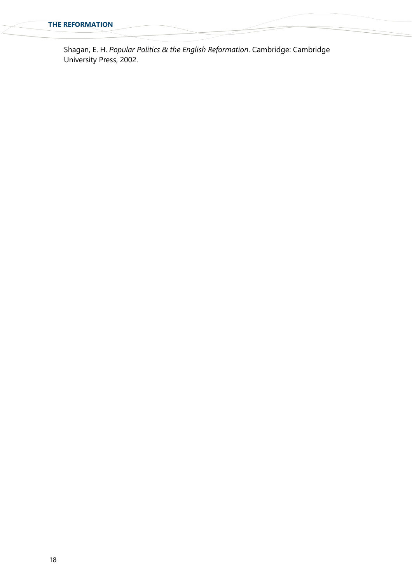Shagan, E. H. *Popular Politics & the English Reformation*. Cambridge: Cambridge University Press, 2002.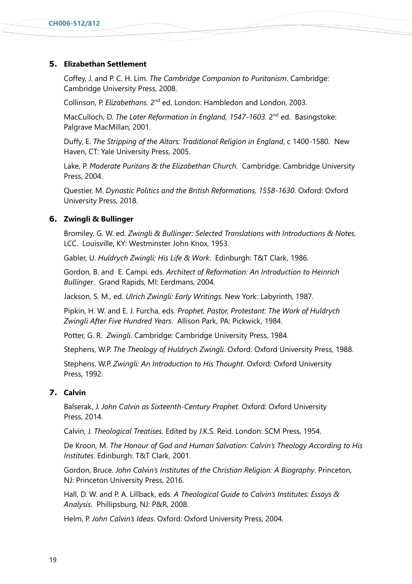#### **5. Elizabethan Settlement**

Coffey, J. and P. C. H. Lim. *The Cambridge Companion to Puritanism*. Cambridge: Cambridge University Press, 2008.

Collinson, P. *Elizabethans*. 2<sup>nd</sup> ed. London: Hambledon and London, 2003.

MacCulloch, D. The Later Reformation in England, 1547-1603. 2<sup>nd</sup> ed. Basingstoke: Palgrave MacMillan, 2001.

Duffy, E. *The Stripping of the Altars: Traditional Religion in England*, c 1400-1580. New Haven, CT: Yale University Press, 2005.

Lake, P. *Moderate Puritans & the Elizabethan Church*. Cambridge: Cambridge University Press, 2004.

Questier, M. *Dynastic Politics and the British Reformations, 1558-1630*. Oxford: Oxford University Press, 2018.

#### **6. Zwingli & Bullinger**

Bromiley, G. W. ed. *Zwingli & Bullinger: Selected Translations with Introductions & Notes*, LCC. Louisville, KY: Westminster John Knox, 1953.

Gabler, U. *Huldrych Zwingli: His Life & Work*. Edinburgh: T&T Clark, 1986.

Gordon, B. and E. Campi. eds. *Architect of Reformation: An Introduction to Heinrich Bullinger*. Grand Rapids, MI: Eerdmans, 2004.

Jackson, S. M., ed. *Ulrich Zwingli: Early Writings*. New York: Labyrinth, 1987.

Pipkin, H. W. and E. J. Furcha, eds. *Prophet, Pastor, Protestant: The Work of Huldrych Zwingli After Five Hundred Years*. Allison Park, PA: Pickwick, 1984.

Potter, G. R. *Zwingli*. Cambridge: Cambridge University Press, 1984.

Stephens, W.P. *The Theology of Huldrych Zwingli*. Oxford: Oxford University Press, 1988.

Stephens, W.P. *Zwingli: An Introduction to His Thought*. Oxford: Oxford University Press, 1992.

### **7. Calvin**

Balserak, J. *John Calvin as Sixteenth-Century Prophet*. Oxford: Oxford University Press, 2014.

Calvin, J. *Theological Treatises.* Edited by J.K.S. Reid. London: SCM Press, 1954.

De Kroon, M. *The Honour of God and Human Salvation: Calvin's Theology According to His Institutes*. Edinburgh: T&T Clark, 2001.

Gordon, Bruce. *John Calvin's Institutes of the Christian Religion: A Biography*. Princeton, NJ: Princeton University Press, 2016.

Hall, D. W. and P. A. Lillback, eds. *A Theological Guide to Calvin's Institutes: Essays & Analysis*. Phillipsburg, NJ: P&R, 2008.

Helm, P. *John Calvin's Ideas*. Oxford: Oxford University Press, 2004.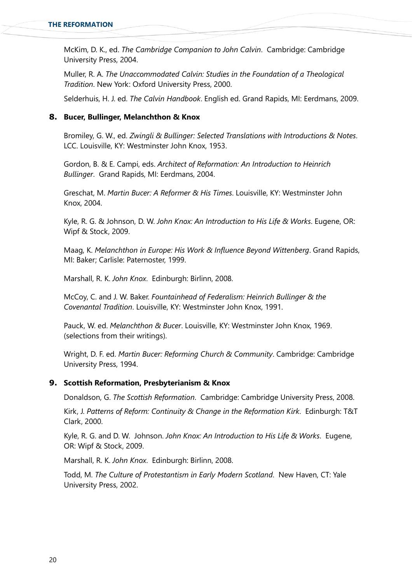McKim, D. K., ed. *The Cambridge Companion to John Calvin*. Cambridge: Cambridge University Press, 2004.

Muller, R. A. *The Unaccommodated Calvin: Studies in the Foundation of a Theological Tradition*. New York: Oxford University Press, 2000.

Selderhuis, H. J. ed. *The Calvin Handbook*. English ed. Grand Rapids, MI: Eerdmans, 2009.

#### **8. Bucer, Bullinger, Melanchthon & Knox**

Bromiley, G. W., ed. *Zwingli & Bullinger: Selected Translations with Introductions & Notes*. LCC. Louisville, KY: Westminster John Knox, 1953.

Gordon, B. & E. Campi, eds. *Architect of Reformation: An Introduction to Heinrich Bullinger*. Grand Rapids, MI: Eerdmans, 2004.

Greschat, M. *Martin Bucer: A Reformer & His Times*. Louisville, KY: Westminster John Knox, 2004.

Kyle, R. G. & Johnson, D. W. *John Knox: An Introduction to His Life & Works*. Eugene, OR: Wipf & Stock, 2009.

Maag, K. *Melanchthon in Europe: His Work & Influence Beyond Wittenberg*. Grand Rapids, MI: Baker; Carlisle: Paternoster, 1999.

Marshall, R. K. *John Knox*. Edinburgh: Birlinn, 2008.

McCoy, C. and J. W. Baker. *Fountainhead of Federalism: Heinrich Bullinger & the Covenantal Tradition*. Louisville, KY: Westminster John Knox, 1991.

Pauck, W. ed. *Melanchthon & Bucer*. Louisville, KY: Westminster John Knox, 1969. (selections from their writings).

Wright, D. F. ed. *Martin Bucer: Reforming Church & Community*. Cambridge: Cambridge University Press, 1994.

### **9. Scottish Reformation, Presbyterianism & Knox**

Donaldson, G. *The Scottish Reformation*. Cambridge: Cambridge University Press, 2008.

Kirk, J. *Patterns of Reform: Continuity & Change in the Reformation Kirk*. Edinburgh: T&T Clark, 2000.

Kyle, R. G. and D. W. Johnson. *John Knox: An Introduction to His Life & Works*. Eugene, OR: Wipf & Stock, 2009.

Marshall, R. K. *John Knox*. Edinburgh: Birlinn, 2008.

Todd, M. *The Culture of Protestantism in Early Modern Scotland*. New Haven, CT: Yale University Press, 2002.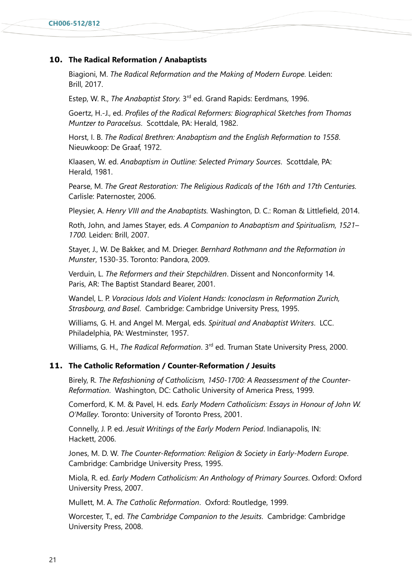### **10. The Radical Reformation / Anabaptists**

Biagioni, M. *The Radical Reformation and the Making of Modern Europe.* Leiden: Brill, 2017.

Estep, W. R., *The Anabaptist Story*. 3<sup>rd</sup> ed. Grand Rapids: Eerdmans, 1996.

Goertz, H.-J., ed. *Profiles of the Radical Reformers: Biographical Sketches from Thomas Muntzer to Paracelsus*. Scottdale, PA: Herald, 1982.

Horst, I. B. *The Radical Brethren: Anabaptism and the English Reformation to 1558*. Nieuwkoop: De Graaf, 1972.

Klaasen, W. ed. *Anabaptism in Outline: Selected Primary Sources*. Scottdale, PA: Herald, 1981.

Pearse, M. *The Great Restoration: The Religious Radicals of the 16th and 17th Centuries.* Carlisle: Paternoster, 2006.

Pleysier, A. *Henry VIII and the Anabaptists.* Washington, D. C.: Roman & Littlefield, 2014.

Roth, John, and James Stayer, eds. *A Companion to Anabaptism and Spiritualism, 1521– 1700.* Leiden: Brill, 2007.

Stayer, J., W. De Bakker, and M. Drieger. *Bernhard Rothmann and the Reformation in Munster*, 1530-35. Toronto: Pandora, 2009.

Verduin, L. *The Reformers and their Stepchildren*. Dissent and Nonconformity 14. Paris, AR: The Baptist Standard Bearer, 2001.

Wandel, L. P. *Voracious Idols and Violent Hands: Iconoclasm in Reformation Zurich, Strasbourg, and Basel*. Cambridge: Cambridge University Press, 1995.

Williams, G. H. and Angel M. Mergal, eds. *Spiritual and Anabaptist Writers*. LCC. Philadelphia, PA: Westminster, 1957.

Williams, G. H., *The Radical Reformation*. 3rd ed. Truman State University Press, 2000.

### **11. The Catholic Reformation / Counter-Reformation / Jesuits**

Birely, R. *The Refashioning of Catholicism, 1450-1700: A Reassessment of the Counter-Reformation*. Washington, DC: Catholic University of America Press, 1999.

Comerford, K. M. & Pavel, H. eds*. Early Modern Catholicism: Essays in Honour of John W. O'Malley*. Toronto: University of Toronto Press, 2001.

Connelly, J. P. ed. *Jesuit Writings of the Early Modern Period*. Indianapolis, IN: Hackett, 2006.

Jones, M. D. W. *The Counter-Reformation: Religion & Society in Early-Modern Europe*. Cambridge: Cambridge University Press, 1995.

Miola, R. ed. *Early Modern Catholicism: An Anthology of Primary Sources*. Oxford: Oxford University Press, 2007.

Mullett, M. A. *The Catholic Reformation*. Oxford: Routledge, 1999.

Worcester, T., ed. *The Cambridge Companion to the Jesuits*. Cambridge: Cambridge University Press, 2008.